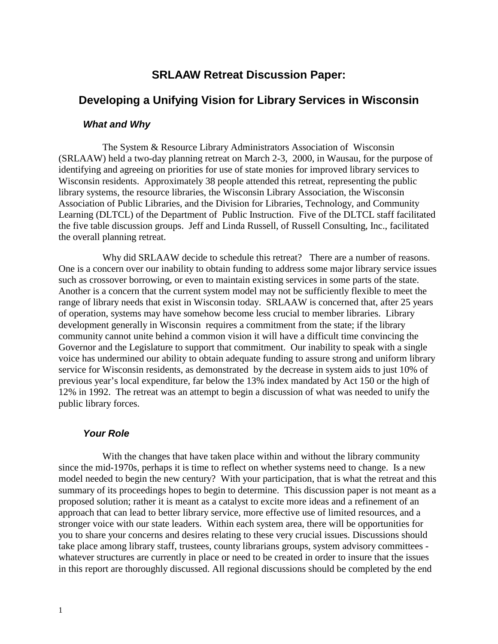# **SRLAAW Retreat Discussion Paper:**

# **Developing a Unifying Vision for Library Services in Wisconsin**

#### *What and Why*

 The System & Resource Library Administrators Association of Wisconsin (SRLAAW) held a two-day planning retreat on March 2-3, 2000, in Wausau, for the purpose of identifying and agreeing on priorities for use of state monies for improved library services to Wisconsin residents. Approximately 38 people attended this retreat, representing the public library systems, the resource libraries, the Wisconsin Library Association, the Wisconsin Association of Public Libraries, and the Division for Libraries, Technology, and Community Learning (DLTCL) of the Department of Public Instruction. Five of the DLTCL staff facilitated the five table discussion groups. Jeff and Linda Russell, of Russell Consulting, Inc., facilitated the overall planning retreat.

 Why did SRLAAW decide to schedule this retreat? There are a number of reasons. One is a concern over our inability to obtain funding to address some major library service issues such as crossover borrowing, or even to maintain existing services in some parts of the state. Another is a concern that the current system model may not be sufficiently flexible to meet the range of library needs that exist in Wisconsin today. SRLAAW is concerned that, after 25 years of operation, systems may have somehow become less crucial to member libraries. Library development generally in Wisconsin requires a commitment from the state; if the library community cannot unite behind a common vision it will have a difficult time convincing the Governor and the Legislature to support that commitment. Our inability to speak with a single voice has undermined our ability to obtain adequate funding to assure strong and uniform library service for Wisconsin residents, as demonstrated by the decrease in system aids to just 10% of previous year's local expenditure, far below the 13% index mandated by Act 150 or the high of 12% in 1992. The retreat was an attempt to begin a discussion of what was needed to unify the public library forces.

#### *Your Role*

 With the changes that have taken place within and without the library community since the mid-1970s, perhaps it is time to reflect on whether systems need to change. Is a new model needed to begin the new century? With your participation, that is what the retreat and this summary of its proceedings hopes to begin to determine. This discussion paper is not meant as a proposed solution; rather it is meant as a catalyst to excite more ideas and a refinement of an approach that can lead to better library service, more effective use of limited resources, and a stronger voice with our state leaders. Within each system area, there will be opportunities for you to share your concerns and desires relating to these very crucial issues. Discussions should take place among library staff, trustees, county librarians groups, system advisory committees whatever structures are currently in place or need to be created in order to insure that the issues in this report are thoroughly discussed. All regional discussions should be completed by the end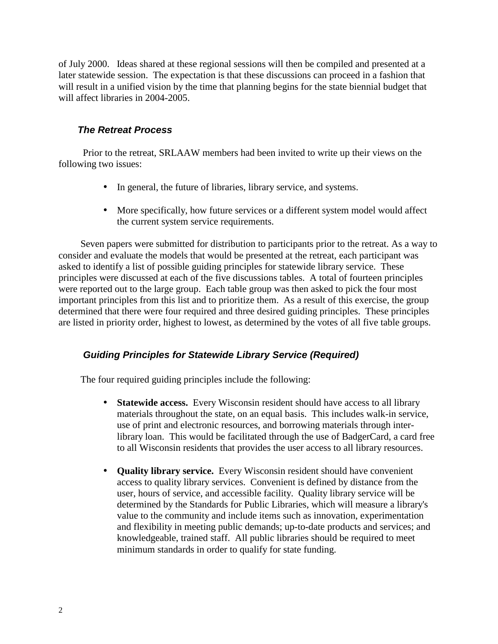of July 2000. Ideas shared at these regional sessions will then be compiled and presented at a later statewide session. The expectation is that these discussions can proceed in a fashion that will result in a unified vision by the time that planning begins for the state biennial budget that will affect libraries in 2004-2005.

## *The Retreat Process*

 Prior to the retreat, SRLAAW members had been invited to write up their views on the following two issues:

- In general, the future of libraries, library service, and systems.
- More specifically, how future services or a different system model would affect the current system service requirements.

 Seven papers were submitted for distribution to participants prior to the retreat. As a way to consider and evaluate the models that would be presented at the retreat, each participant was asked to identify a list of possible guiding principles for statewide library service. These principles were discussed at each of the five discussions tables. A total of fourteen principles were reported out to the large group. Each table group was then asked to pick the four most important principles from this list and to prioritize them. As a result of this exercise, the group determined that there were four required and three desired guiding principles. These principles are listed in priority order, highest to lowest, as determined by the votes of all five table groups.

## *Guiding Principles for Statewide Library Service (Required)*

The four required guiding principles include the following:

- **Statewide access.** Every Wisconsin resident should have access to all library materials throughout the state, on an equal basis. This includes walk-in service, use of print and electronic resources, and borrowing materials through interlibrary loan. This would be facilitated through the use of BadgerCard, a card free to all Wisconsin residents that provides the user access to all library resources.
- **Quality library service.** Every Wisconsin resident should have convenient access to quality library services. Convenient is defined by distance from the user, hours of service, and accessible facility. Quality library service will be determined by the Standards for Public Libraries, which will measure a library's value to the community and include items such as innovation, experimentation and flexibility in meeting public demands; up-to-date products and services; and knowledgeable, trained staff. All public libraries should be required to meet minimum standards in order to qualify for state funding.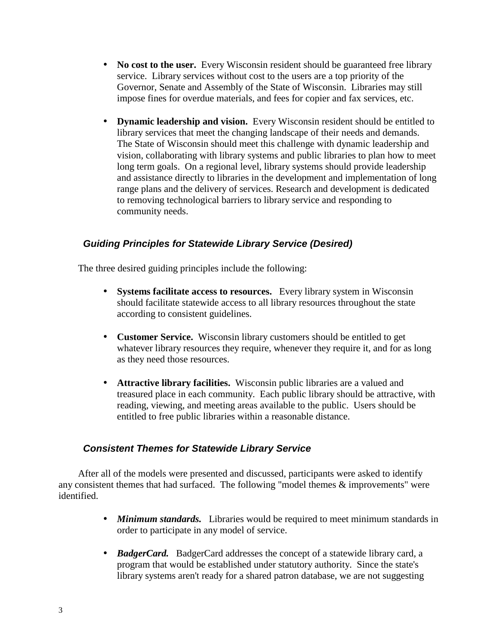- **No cost to the user.** Every Wisconsin resident should be guaranteed free library service. Library services without cost to the users are a top priority of the Governor, Senate and Assembly of the State of Wisconsin. Libraries may still impose fines for overdue materials, and fees for copier and fax services, etc.
- **Dynamic leadership and vision.** Every Wisconsin resident should be entitled to library services that meet the changing landscape of their needs and demands. The State of Wisconsin should meet this challenge with dynamic leadership and vision, collaborating with library systems and public libraries to plan how to meet long term goals. On a regional level, library systems should provide leadership and assistance directly to libraries in the development and implementation of long range plans and the delivery of services. Research and development is dedicated to removing technological barriers to library service and responding to community needs.

## *Guiding Principles for Statewide Library Service (Desired)*

The three desired guiding principles include the following:

- **Systems facilitate access to resources.** Every library system in Wisconsin should facilitate statewide access to all library resources throughout the state according to consistent guidelines.
- **Customer Service.** Wisconsin library customers should be entitled to get whatever library resources they require, whenever they require it, and for as long as they need those resources.
- **Attractive library facilities.** Wisconsin public libraries are a valued and treasured place in each community. Each public library should be attractive, with reading, viewing, and meeting areas available to the public. Users should be entitled to free public libraries within a reasonable distance.

## *Consistent Themes for Statewide Library Service*

 After all of the models were presented and discussed, participants were asked to identify any consistent themes that had surfaced. The following "model themes & improvements" were identified.

- *Minimum standards.* Libraries would be required to meet minimum standards in order to participate in any model of service.
- *BadgerCard.* BadgerCard addresses the concept of a statewide library card, a program that would be established under statutory authority. Since the state's library systems aren't ready for a shared patron database, we are not suggesting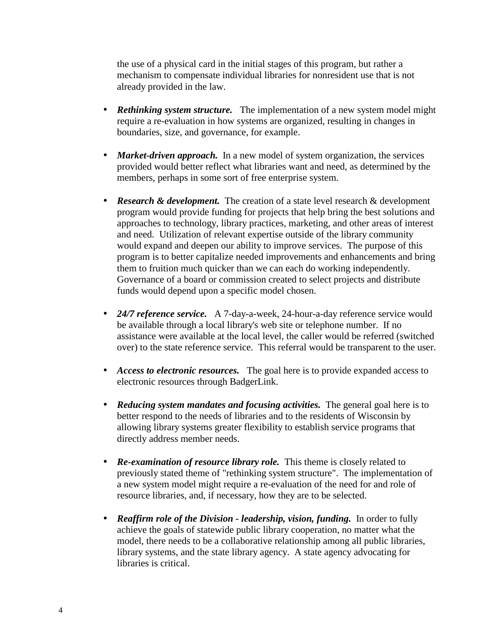the use of a physical card in the initial stages of this program, but rather a mechanism to compensate individual libraries for nonresident use that is not already provided in the law.

- **Rethinking system structure.** The implementation of a new system model might require a re-evaluation in how systems are organized, resulting in changes in boundaries, size, and governance, for example.
- *Market-driven approach*. In a new model of system organization, the services provided would better reflect what libraries want and need, as determined by the members, perhaps in some sort of free enterprise system.
- **Research & development.** The creation of a state level research & development program would provide funding for projects that help bring the best solutions and approaches to technology, library practices, marketing, and other areas of interest and need. Utilization of relevant expertise outside of the library community would expand and deepen our ability to improve services. The purpose of this program is to better capitalize needed improvements and enhancements and bring them to fruition much quicker than we can each do working independently. Governance of a board or commission created to select projects and distribute funds would depend upon a specific model chosen.
- *24/7 reference service.* A 7-day-a-week, 24-hour-a-day reference service would be available through a local library's web site or telephone number. If no assistance were available at the local level, the caller would be referred (switched over) to the state reference service. This referral would be transparent to the user.
- *Access to electronic resources*. The goal here is to provide expanded access to electronic resources through BadgerLink.
- *Reducing system mandates and focusing activities.* The general goal here is to better respond to the needs of libraries and to the residents of Wisconsin by allowing library systems greater flexibility to establish service programs that directly address member needs.
- *Re-examination of resource library role.* This theme is closely related to previously stated theme of "rethinking system structure". The implementation of a new system model might require a re-evaluation of the need for and role of resource libraries, and, if necessary, how they are to be selected.
- *Reaffirm role of the Division leadership, vision, funding.* In order to fully achieve the goals of statewide public library cooperation, no matter what the model, there needs to be a collaborative relationship among all public libraries, library systems, and the state library agency. A state agency advocating for libraries is critical.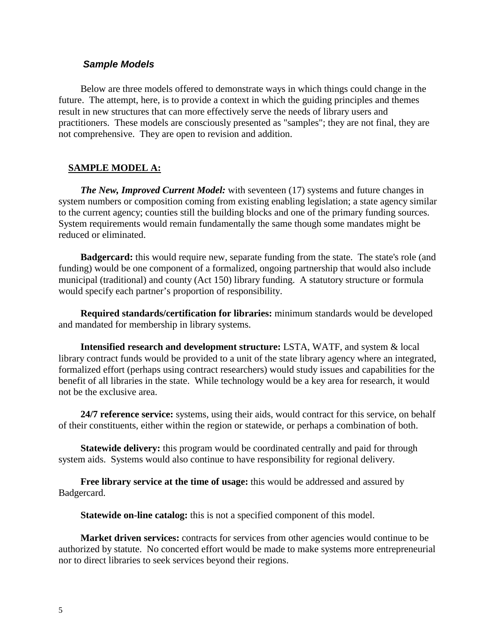#### *Sample Models*

 Below are three models offered to demonstrate ways in which things could change in the future. The attempt, here, is to provide a context in which the guiding principles and themes result in new structures that can more effectively serve the needs of library users and practitioners. These models are consciously presented as "samples"; they are not final, they are not comprehensive. They are open to revision and addition.

### **SAMPLE MODEL A:**

*The New, Improved Current Model:* with seventeen (17) systems and future changes in system numbers or composition coming from existing enabling legislation; a state agency similar to the current agency; counties still the building blocks and one of the primary funding sources. System requirements would remain fundamentally the same though some mandates might be reduced or eliminated.

**Badgercard:** this would require new, separate funding from the state. The state's role (and funding) would be one component of a formalized, ongoing partnership that would also include municipal (traditional) and county (Act 150) library funding. A statutory structure or formula would specify each partner's proportion of responsibility.

 **Required standards/certification for libraries:** minimum standards would be developed and mandated for membership in library systems.

 **Intensified research and development structure:** LSTA, WATF, and system & local library contract funds would be provided to a unit of the state library agency where an integrated, formalized effort (perhaps using contract researchers) would study issues and capabilities for the benefit of all libraries in the state. While technology would be a key area for research, it would not be the exclusive area.

 **24/7 reference service:** systems, using their aids, would contract for this service, on behalf of their constituents, either within the region or statewide, or perhaps a combination of both.

 **Statewide delivery:** this program would be coordinated centrally and paid for through system aids. Systems would also continue to have responsibility for regional delivery.

 **Free library service at the time of usage:** this would be addressed and assured by Badgercard.

**Statewide on-line catalog:** this is not a specified component of this model.

 **Market driven services:** contracts for services from other agencies would continue to be authorized by statute. No concerted effort would be made to make systems more entrepreneurial nor to direct libraries to seek services beyond their regions.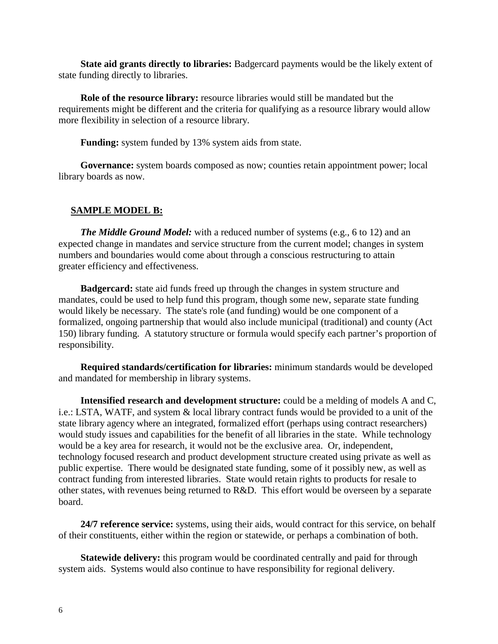**State aid grants directly to libraries:** Badgercard payments would be the likely extent of state funding directly to libraries.

 **Role of the resource library:** resource libraries would still be mandated but the requirements might be different and the criteria for qualifying as a resource library would allow more flexibility in selection of a resource library.

**Funding:** system funded by 13% system aids from state.

 **Governance:** system boards composed as now; counties retain appointment power; local library boards as now.

#### **SAMPLE MODEL B:**

*The Middle Ground Model:* with a reduced number of systems (e.g., 6 to 12) and an expected change in mandates and service structure from the current model; changes in system numbers and boundaries would come about through a conscious restructuring to attain greater efficiency and effectiveness.

 **Badgercard:** state aid funds freed up through the changes in system structure and mandates, could be used to help fund this program, though some new, separate state funding would likely be necessary. The state's role (and funding) would be one component of a formalized, ongoing partnership that would also include municipal (traditional) and county (Act 150) library funding. A statutory structure or formula would specify each partner's proportion of responsibility.

 **Required standards/certification for libraries:** minimum standards would be developed and mandated for membership in library systems.

 **Intensified research and development structure:** could be a melding of models A and C, i.e.: LSTA, WATF, and system & local library contract funds would be provided to a unit of the state library agency where an integrated, formalized effort (perhaps using contract researchers) would study issues and capabilities for the benefit of all libraries in the state. While technology would be a key area for research, it would not be the exclusive area. Or, independent, technology focused research and product development structure created using private as well as public expertise. There would be designated state funding, some of it possibly new, as well as contract funding from interested libraries. State would retain rights to products for resale to other states, with revenues being returned to R&D. This effort would be overseen by a separate board.

 **24/7 reference service:** systems, using their aids, would contract for this service, on behalf of their constituents, either within the region or statewide, or perhaps a combination of both.

 **Statewide delivery:** this program would be coordinated centrally and paid for through system aids. Systems would also continue to have responsibility for regional delivery.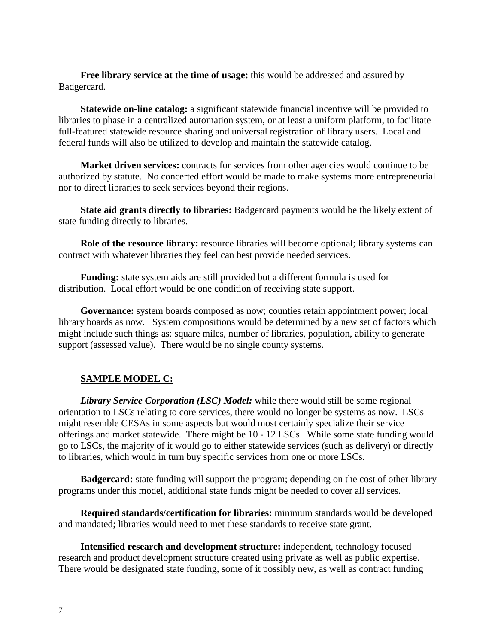**Free library service at the time of usage:** this would be addressed and assured by Badgercard.

**Statewide on-line catalog:** a significant statewide financial incentive will be provided to libraries to phase in a centralized automation system, or at least a uniform platform, to facilitate full-featured statewide resource sharing and universal registration of library users. Local and federal funds will also be utilized to develop and maintain the statewide catalog.

 **Market driven services:** contracts for services from other agencies would continue to be authorized by statute. No concerted effort would be made to make systems more entrepreneurial nor to direct libraries to seek services beyond their regions.

 **State aid grants directly to libraries:** Badgercard payments would be the likely extent of state funding directly to libraries.

**Role of the resource library:** resource libraries will become optional; library systems can contract with whatever libraries they feel can best provide needed services.

 **Funding:** state system aids are still provided but a different formula is used for distribution. Local effort would be one condition of receiving state support.

 **Governance:** system boards composed as now; counties retain appointment power; local library boards as now. System compositions would be determined by a new set of factors which might include such things as: square miles, number of libraries, population, ability to generate support (assessed value). There would be no single county systems.

## **SAMPLE MODEL C:**

 *Library Service Corporation (LSC) Model:* while there would still be some regional orientation to LSCs relating to core services, there would no longer be systems as now. LSCs might resemble CESAs in some aspects but would most certainly specialize their service offerings and market statewide. There might be 10 - 12 LSCs. While some state funding would go to LSCs, the majority of it would go to either statewide services (such as delivery) or directly to libraries, which would in turn buy specific services from one or more LSCs.

**Badgercard:** state funding will support the program; depending on the cost of other library programs under this model, additional state funds might be needed to cover all services.

 **Required standards/certification for libraries:** minimum standards would be developed and mandated; libraries would need to met these standards to receive state grant.

 **Intensified research and development structure:** independent, technology focused research and product development structure created using private as well as public expertise. There would be designated state funding, some of it possibly new, as well as contract funding